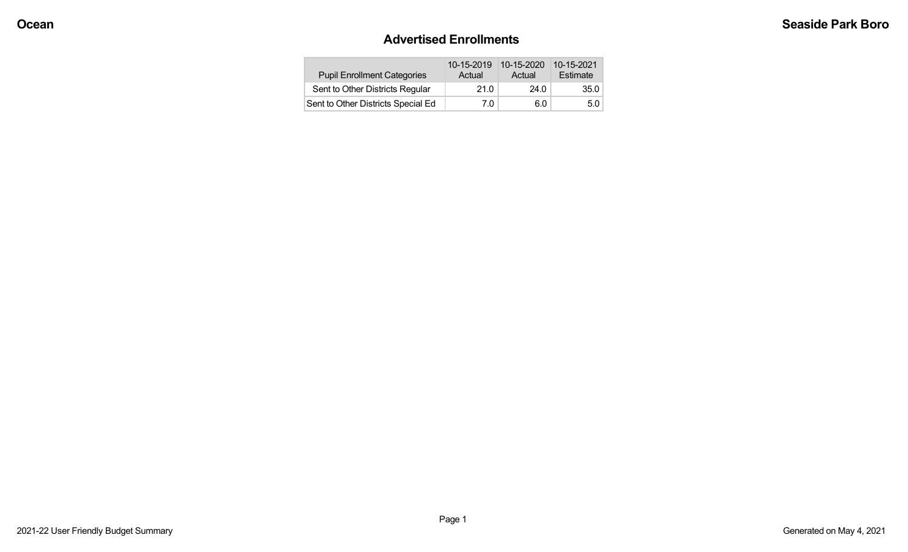### **Advertised Enrollments**

| <b>Pupil Enrollment Categories</b> | 10-15-2019<br>Actual | 10-15-2020<br>Actual | 10-15-2021<br>Estimate |
|------------------------------------|----------------------|----------------------|------------------------|
| Sent to Other Districts Regular    | 21.0                 | 24.0                 | 35.0                   |
| Sent to Other Districts Special Ed | 7.0                  | 6.0                  | 5.0                    |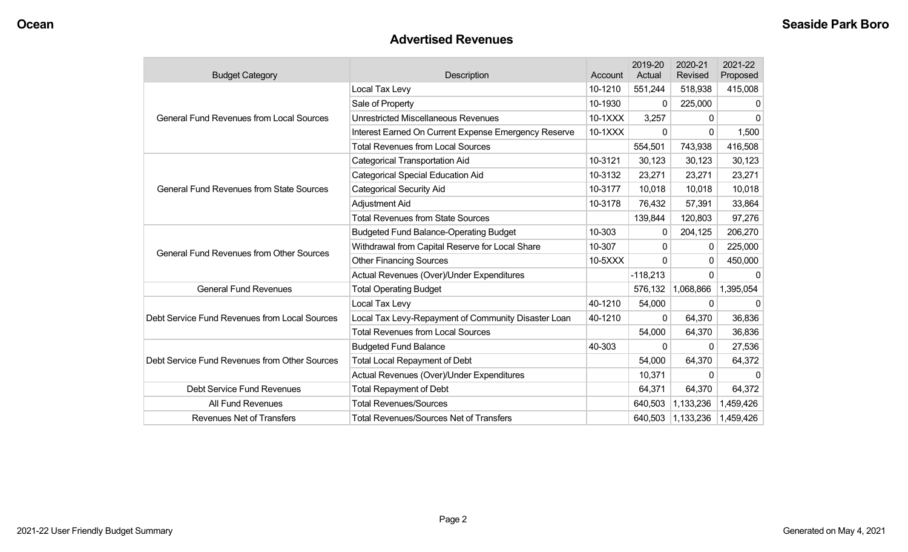#### **Advertised Revenues**

| <b>Budget Category</b>                          | <b>Description</b>                                   | Account | 2019-20<br>Actual | 2020-21<br>Revised | 2021-22<br>Proposed |
|-------------------------------------------------|------------------------------------------------------|---------|-------------------|--------------------|---------------------|
| <b>General Fund Revenues from Local Sources</b> | Local Tax Levy                                       | 10-1210 | 551,244           | 518,938            | 415,008             |
|                                                 | Sale of Property                                     | 10-1930 | 0                 | 225,000            | 0                   |
|                                                 | <b>Unrestricted Miscellaneous Revenues</b>           | 10-1XXX | 3,257             | 0                  | 0                   |
|                                                 | Interest Earned On Current Expense Emergency Reserve | 10-1XXX | 0                 | 0                  | 1,500               |
|                                                 | <b>Total Revenues from Local Sources</b>             |         | 554,501           | 743,938            | 416,508             |
|                                                 | <b>Categorical Transportation Aid</b>                | 10-3121 | 30,123            | 30,123             | 30,123              |
|                                                 | <b>Categorical Special Education Aid</b>             | 10-3132 | 23,271            | 23,271             | 23,271              |
| <b>General Fund Revenues from State Sources</b> | <b>Categorical Security Aid</b>                      | 10-3177 | 10,018            | 10,018             | 10,018              |
|                                                 | Adjustment Aid                                       | 10-3178 | 76,432            | 57,391             | 33,864              |
|                                                 | <b>Total Revenues from State Sources</b>             |         | 139,844           | 120,803            | 97,276              |
|                                                 | <b>Budgeted Fund Balance-Operating Budget</b>        | 10-303  | 0                 | 204,125            | 206,270             |
| <b>General Fund Revenues from Other Sources</b> | Withdrawal from Capital Reserve for Local Share      | 10-307  | 0                 | 0                  | 225,000             |
|                                                 | <b>Other Financing Sources</b>                       | 10-5XXX | $\Omega$          | 0                  | 450,000             |
|                                                 | Actual Revenues (Over)/Under Expenditures            |         | $-118,213$        | 0                  | 0                   |
| <b>General Fund Revenues</b>                    | <b>Total Operating Budget</b>                        |         | 576,132           | 1,068,866          | 1,395,054           |
|                                                 | Local Tax Levy                                       | 40-1210 | 54,000            | 0                  | $\Omega$            |
| Debt Service Fund Revenues from Local Sources   | Local Tax Levy-Repayment of Community Disaster Loan  | 40-1210 | 0                 | 64,370             | 36,836              |
|                                                 | <b>Total Revenues from Local Sources</b>             |         | 54,000            | 64,370             | 36,836              |
|                                                 | <b>Budgeted Fund Balance</b>                         | 40-303  | $\Omega$          | $\Omega$           | 27,536              |
| Debt Service Fund Revenues from Other Sources   | <b>Total Local Repayment of Debt</b>                 |         | 54,000            | 64,370             | 64,372              |
|                                                 | Actual Revenues (Over)/Under Expenditures            |         | 10,371            | 0                  | ŋ                   |
| Debt Service Fund Revenues                      | <b>Total Repayment of Debt</b>                       |         | 64,371            | 64,370             | 64,372              |
| All Fund Revenues                               | <b>Total Revenues/Sources</b>                        |         | 640,503           | 1,133,236          | 1,459,426           |
| <b>Revenues Net of Transfers</b>                | <b>Total Revenues/Sources Net of Transfers</b>       |         | 640,503           | 1,133,236          | 1,459,426           |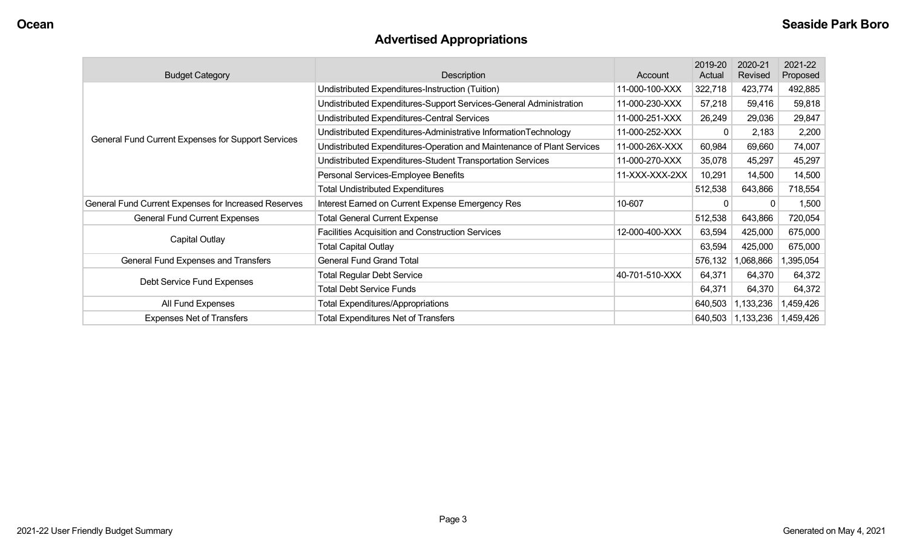# **Advertised Appropriations**

| <b>Budget Category</b>                               | Description                                                            | Account        | 2019-20<br>Actual | 2020-21<br>Revised | 2021-22<br>Proposed |
|------------------------------------------------------|------------------------------------------------------------------------|----------------|-------------------|--------------------|---------------------|
|                                                      | Undistributed Expenditures-Instruction (Tuition)                       | 11-000-100-XXX | 322,718           | 423,774            | 492,885             |
|                                                      | Undistributed Expenditures-Support Services-General Administration     | 11-000-230-XXX | 57,218            | 59,416             | 59,818              |
|                                                      | Undistributed Expenditures-Central Services                            | 11-000-251-XXX | 26,249            | 29,036             | 29,847              |
| General Fund Current Expenses for Support Services   | Undistributed Expenditures-Administrative InformationTechnology        | 11-000-252-XXX | $\Omega$          | 2,183              | 2,200               |
|                                                      | Undistributed Expenditures-Operation and Maintenance of Plant Services | 11-000-26X-XXX | 60,984            | 69,660             | 74,007              |
|                                                      | Undistributed Expenditures-Student Transportation Services             | 11-000-270-XXX | 35,078            | 45,297             | 45,297              |
|                                                      | Personal Services-Employee Benefits                                    | 11-XXX-XXX-2XX | 10,291            | 14,500             | 14,500              |
|                                                      | <b>Total Undistributed Expenditures</b>                                |                | 512,538           | 643,866            | 718,554             |
| General Fund Current Expenses for Increased Reserves | Interest Earned on Current Expense Emergency Res                       | 10-607         |                   |                    | 1,500               |
| <b>General Fund Current Expenses</b>                 | <b>Total General Current Expense</b>                                   |                | 512,538           | 643,866            | 720,054             |
| Capital Outlay                                       | <b>Facilities Acquisition and Construction Services</b>                | 12-000-400-XXX | 63,594            | 425,000            | 675,000             |
|                                                      | <b>Total Capital Outlay</b>                                            |                | 63,594            | 425,000            | 675,000             |
| General Fund Expenses and Transfers                  | <b>General Fund Grand Total</b>                                        |                | 576,132           | 1,068,866          | 1,395,054           |
| Debt Service Fund Expenses                           | <b>Total Regular Debt Service</b>                                      | 40-701-510-XXX | 64,371            | 64,370             | 64,372              |
|                                                      | <b>Total Debt Service Funds</b>                                        |                | 64,371            | 64,370             | 64,372              |
| All Fund Expenses                                    | <b>Total Expenditures/Appropriations</b>                               |                | 640,503           | 1,133,236          | 1,459,426           |
| <b>Expenses Net of Transfers</b>                     | <b>Total Expenditures Net of Transfers</b>                             |                | 640,503           | 1,133,236          | 1,459,426           |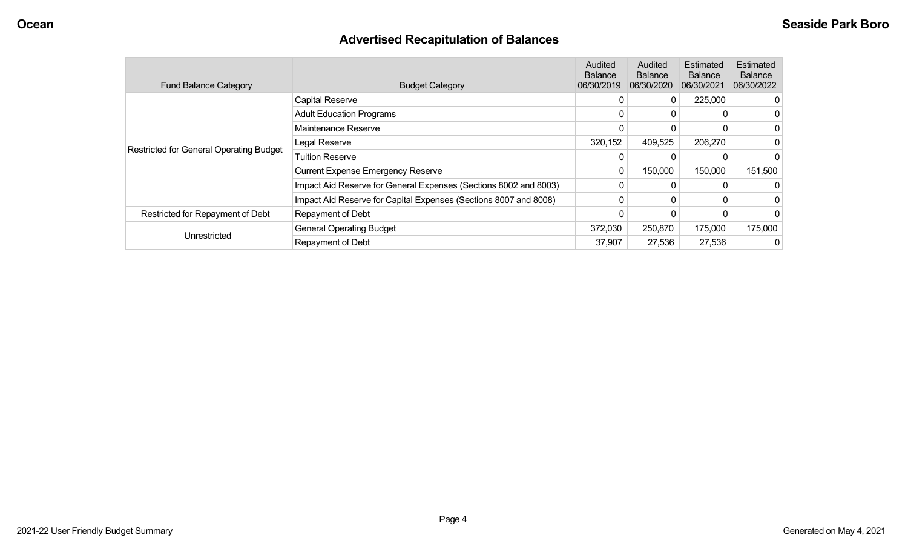# **Advertised Recapitulation of Balances**

| <b>Fund Balance Category</b>            | <b>Budget Category</b>                                           | Audited<br><b>Balance</b><br>06/30/2019 | Audited<br><b>Balance</b><br>06/30/2020 | Estimated<br><b>Balance</b><br>06/30/2021 | <b>Estimated</b><br><b>Balance</b><br>06/30/2022 |
|-----------------------------------------|------------------------------------------------------------------|-----------------------------------------|-----------------------------------------|-------------------------------------------|--------------------------------------------------|
| Restricted for General Operating Budget | <b>Capital Reserve</b>                                           | 0                                       | 0                                       | 225,000                                   |                                                  |
|                                         | <b>Adult Education Programs</b>                                  | 0                                       | 0                                       |                                           |                                                  |
|                                         | Maintenance Reserve                                              | 0                                       | 0                                       |                                           |                                                  |
|                                         | Legal Reserve                                                    | 320,152                                 | 409,525                                 | 206,270                                   |                                                  |
|                                         | <b>Tuition Reserve</b>                                           |                                         |                                         |                                           |                                                  |
|                                         | <b>Current Expense Emergency Reserve</b>                         | 0                                       | 150,000                                 | 150,000                                   | 151,500                                          |
|                                         | Impact Aid Reserve for General Expenses (Sections 8002 and 8003) | 0                                       | 0                                       |                                           |                                                  |
|                                         | Impact Aid Reserve for Capital Expenses (Sections 8007 and 8008) | 0                                       | 0                                       | 0                                         |                                                  |
| Restricted for Repayment of Debt        | Repayment of Debt                                                | 0                                       | 0                                       |                                           |                                                  |
| Unrestricted                            | <b>General Operating Budget</b>                                  | 372,030                                 | 250,870                                 | 175,000                                   | 175,000                                          |
|                                         | Repayment of Debt                                                | 37,907                                  | 27,536                                  | 27,536                                    |                                                  |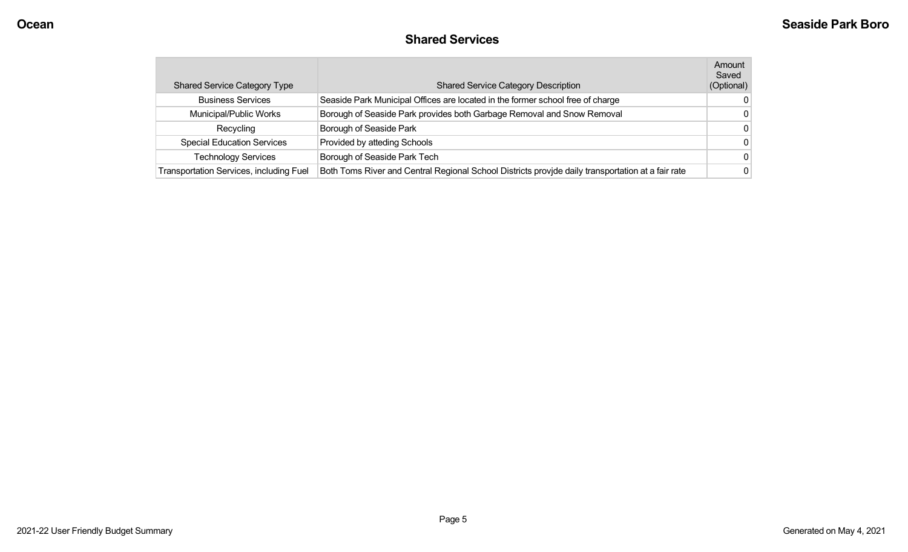#### **Shared Services**

| <b>Shared Service Category Type</b>            | <b>Shared Service Category Description</b>                                                        | Amount<br>Saved<br>(Optional) |
|------------------------------------------------|---------------------------------------------------------------------------------------------------|-------------------------------|
| <b>Business Services</b>                       | Seaside Park Municipal Offices are located in the former school free of charge                    |                               |
| Municipal/Public Works                         | Borough of Seaside Park provides both Garbage Removal and Snow Removal                            |                               |
| Recycling                                      | Borough of Seaside Park                                                                           | 0                             |
| <b>Special Education Services</b>              | Provided by atteding Schools                                                                      | 0                             |
| <b>Technology Services</b>                     | Borough of Seaside Park Tech                                                                      | 0                             |
| <b>Transportation Services, including Fuel</b> | Both Toms River and Central Regional School Districts provide daily transportation at a fair rate |                               |